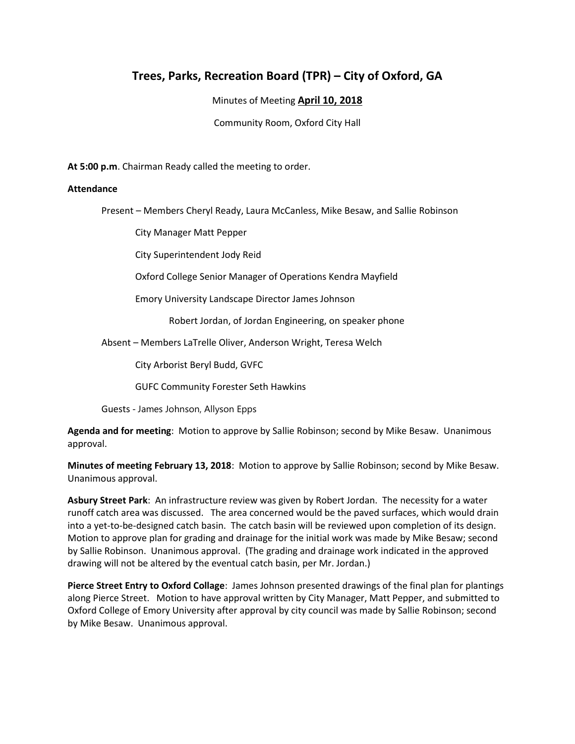## **Trees, Parks, Recreation Board (TPR) – City of Oxford, GA**

Minutes of Meeting **April 10, 2018**

Community Room, Oxford City Hall

**At 5:00 p.m**. Chairman Ready called the meeting to order.

## **Attendance**

Present – Members Cheryl Ready, Laura McCanless, Mike Besaw, and Sallie Robinson

City Manager Matt Pepper

City Superintendent Jody Reid

Oxford College Senior Manager of Operations Kendra Mayfield

Emory University Landscape Director James Johnson

Robert Jordan, of Jordan Engineering, on speaker phone

Absent – Members LaTrelle Oliver, Anderson Wright, Teresa Welch

City Arborist Beryl Budd, GVFC

GUFC Community Forester Seth Hawkins

Guests - James Johnson, Allyson Epps

**Agenda and for meeting**: Motion to approve by Sallie Robinson; second by Mike Besaw. Unanimous approval.

**Minutes of meeting February 13, 2018**: Motion to approve by Sallie Robinson; second by Mike Besaw. Unanimous approval.

**Asbury Street Park**: An infrastructure review was given by Robert Jordan. The necessity for a water runoff catch area was discussed. The area concerned would be the paved surfaces, which would drain into a yet-to-be-designed catch basin. The catch basin will be reviewed upon completion of its design. Motion to approve plan for grading and drainage for the initial work was made by Mike Besaw; second by Sallie Robinson. Unanimous approval. (The grading and drainage work indicated in the approved drawing will not be altered by the eventual catch basin, per Mr. Jordan.)

**Pierce Street Entry to Oxford Collage**: James Johnson presented drawings of the final plan for plantings along Pierce Street. Motion to have approval written by City Manager, Matt Pepper, and submitted to Oxford College of Emory University after approval by city council was made by Sallie Robinson; second by Mike Besaw. Unanimous approval.